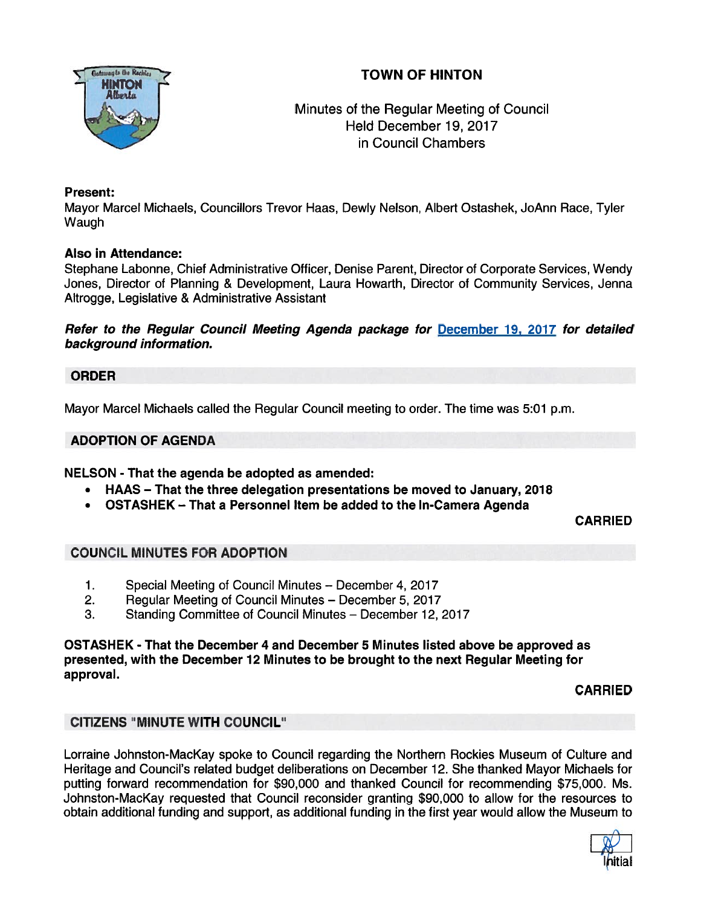# TOWN OF HINTON



Minutes of the Regular Meeting of Council Held December 19, 2017 in Council Chambers

## Present:

Mayor Marcel Michaels, Councillors Trevor Haas, Dewly Nelson, Albert Ostashek, JoAnn Race, Tyler Waugh

### Also in Attendance:

Stephane Labonne, Chief Administrative Officer, Denise Parent, Director of Corporate Services, Wendy Jones, Director of Planning & Development, Laura Howarth, Director of Community Services, Jenna Altrogge, Legislative & Administrative Assistant

Refer to the Regular Council Meeting Agenda package for December 19. 2017 for detailed background information.

### ORDER

Mayor Marcel Michaels called the Regular Council meeting to order. The time was 5:01 p.m.

### ADOPTION OF AGENDA

NELSON - That the agenda be adopted as amended:

- •HAAS — That the three delegation presentations be moved to January, 2018
- •OSTASHEK — That <sup>a</sup> Personnel Item be added to the In-Camera Agenda

CARRIED

### COUNCIL MINUTES FOR ADOPTION

- 1. Special Meeting of Council Minutes December 4, 2017
- 2. Regular Meeting of Council Minutes December 5, 2017
- 3. Standing Committee of Council Minutes December 12, 2017

OSTASHEK - That the December 4 and December 5 Minutes listed above be approved as presented, with the December 12 Minutes to be brought to the next Regular Meeting for approval.

CARRIED

### CITIZENS "MINUTE WITH COUNCIL"

Lorraine Johnston-Mackay spoke to Council regarding the Northern Rockies Museum of Culture and Heritage and Council's related budget deliberations on December 12. She thanked Mayor Michaels for putting forward recommendation for \$90,000 and thanked Council for recommending \$75,000. Ms. Johnston-Mackay requested that Council reconsider granting \$90,000 to allow for the resources to obtain additional funding and support, as additional funding in the first year would allow the Museum to

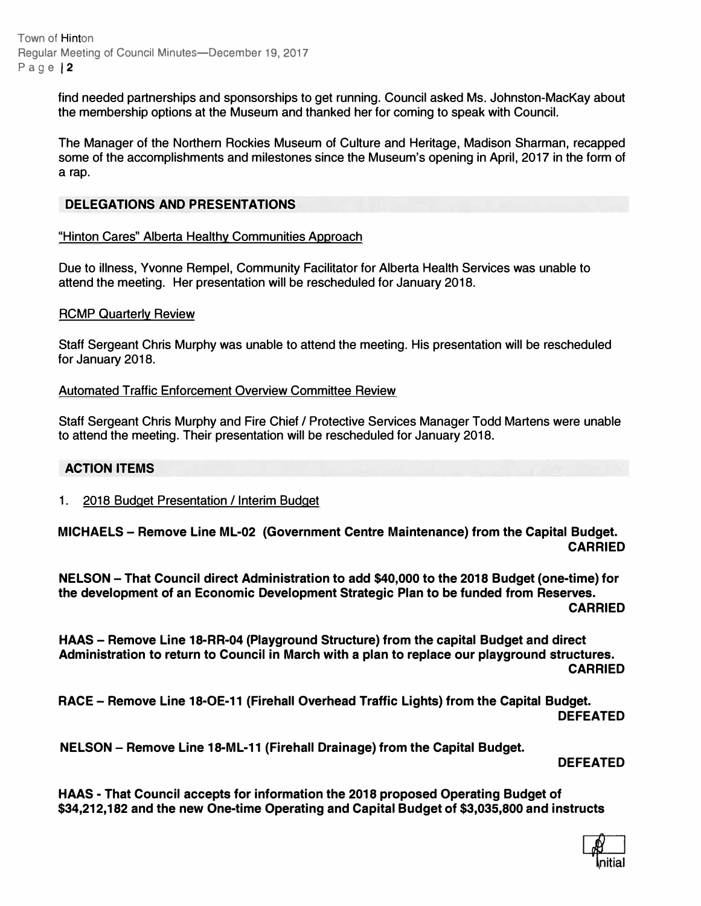Town of Hinton Regular Meeting of Council Minutes-December 19, 2017 Page 2

> find needed partnerships and sponsorships to get running. Council asked Ms. Johnston-MacKay about the membership options at the Museum and thanked her for coming to speak with Council.

> The Manager of the Northern Rockies Museum of Culture and Heritage, Madison Sharman, recapped some of the accomplishments and milestones since the Museum's opening in April, 2017 in the form of a rap.

## **DELEGATIONS AND PRESENTATIONS**

### "Hinton Cares" Alberta Healthy Communities Approach

Due to illness, Yvonne Rempel, Community Facilitator for Alberta Health Services was unable to attend the meeting. Her presentation will be rescheduled for January 2018.

### RCMP Quarterly Review

Staff Sergeant Chris Murphy was unable to attend the meeting. His presentation will be rescheduled for January 2018.

# Automated Traffic Enforcement Overview Committee Review

Staff Sergeant Chris Murphy and Fire Chief/ Protective Services Manager Todd Martens were unable to attend the meeting. Their presentation will be rescheduled for January 2018.

### **ACTION ITEMS**

1. 2018 Budget Presentation / Interim Budget

**MICHAELS-Remove Line ML-02 (Government Centre Maintenance) from the Capital Budget. CARRIED** 

**NELSON -That Council direct Administration to add \$40,000 to the 2018 Budget (one-time) for the development of an Economic Development Strategic Plan to be funded from Reserves. CARRIED** 

HAAS - Remove Line 18-RR-04 (Playground Structure) from the capital Budget and direct **Administration to return to Council in March with a plan to replace our playground structures. CARRIED** 

RACE - Remove Line 18-OE-11 (Firehall Overhead Traffic Lights) from the Capital Budget. **DEFEATED** 

**NELSON- Remove Line 18-ML-11 (Firehall Drainage) from the Capital Budget.** 

**DEFEATED** 

**HAAS - That Council accepts for information the 2018 proposed Operating Budget of \$34,212,182 and the new One-time Operating and Capital Budget of \$3,035,800 and instructs** 

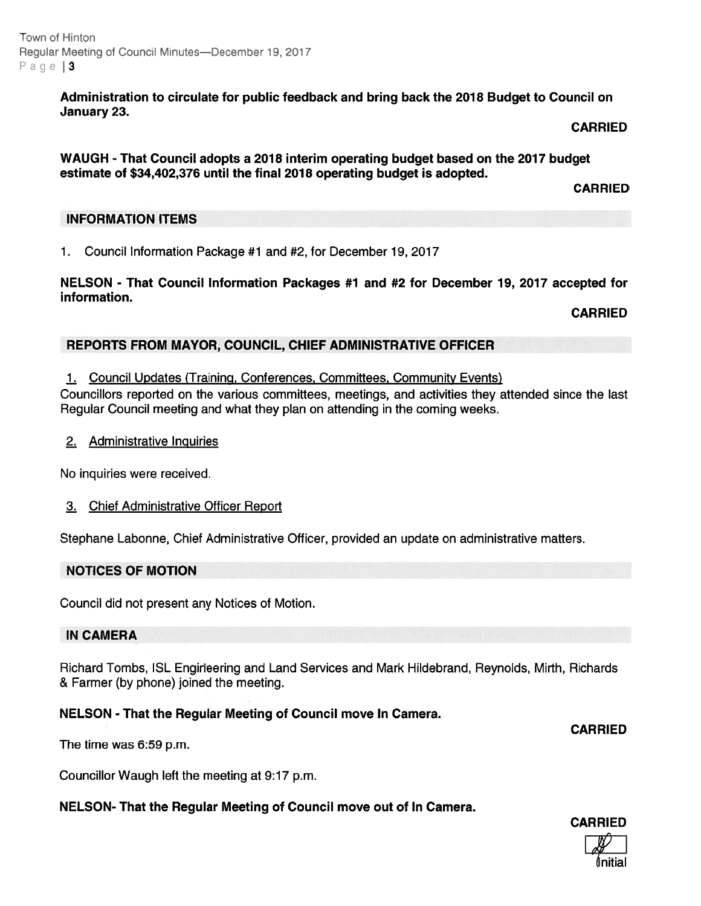Town of Hinton Regular Meeting of Council Minutes—December 19, 2017 Page | 3

> Administration to circulate for public feedback and bring back the 2078 Budget to Council on January 23.

> > CARRIED

WAUGH - That Council adopts <sup>a</sup> 2018 interim operating budget based on the 2077 budget estimate of \$34,402,376 until the final 2018 operating budget is adopted.

CARRIED

### INFORMATION ITEMS

1. Council Intormation Package #1 and #2, for December 19, 2017

NELSON - That Council Information Packages #7 and #2 for December 19, 2017 accepted for information.

CARRIED

# REPORTS FROM MAYOR, COUNCIL, CHIEF ADMINISTRATIVE OFFICER

1. Council Updates (Training, Conferences, Committees, Community Events)

Councillors reported on the various committees, meetings, and activities they attended since the last Regular Council meeting and what they plan on attending in the coming weeks.

### 2. Administrative Inquiries

No inquiries were received.

### 3. Chief Administrative Officer Report

Stephane Labonne, Chief Administrative Officer, provided an update on administrative matters.

### NOTICES OF MOTION

Council did not presen<sup>t</sup> any Notices of Motion.

#### IN CAMERA

Richard Tombs, ISL Engineering and Land Services and Mark Hildebrand, Reynolds, Mirth, Richards & Farmer (by phone) joined the meeting.

### NELSON - That the Regular Meeting of Council move In Camera.

CARRIED

The time was 6:59 p.m.

Councillor Waugh left the meeting at 9:17 p.m.

### NELSON- That the Regular Meeting of Council move out of In Camera.